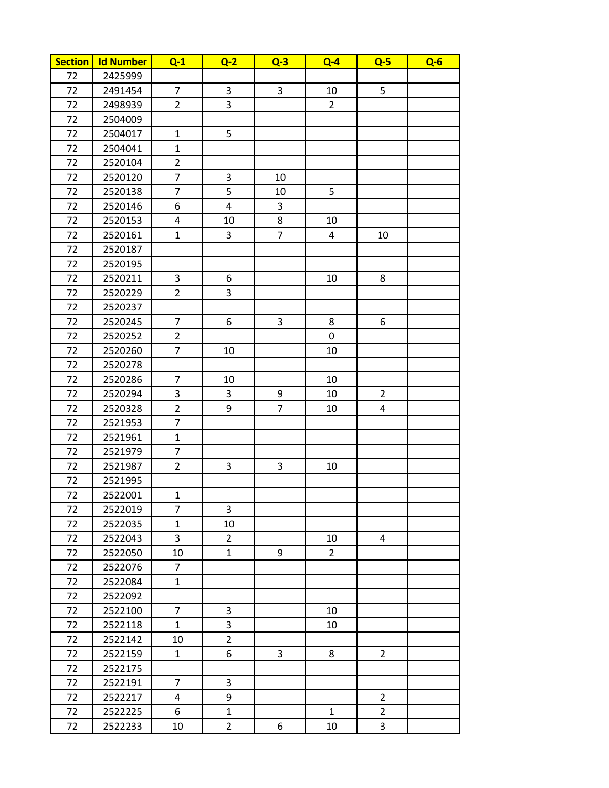| <b>Section</b> | <b>Id Number</b> | $Q-1$          | $Q-2$          | $Q-3$          | $Q - 4$        | $Q-5$          | $Q - 6$ |
|----------------|------------------|----------------|----------------|----------------|----------------|----------------|---------|
| 72             | 2425999          |                |                |                |                |                |         |
| 72             | 2491454          | $\overline{7}$ | 3              | $\mathsf{3}$   | 10             | 5              |         |
| 72             | 2498939          | $\overline{2}$ | 3              |                | $\overline{2}$ |                |         |
| 72             | 2504009          |                |                |                |                |                |         |
| 72             | 2504017          | $\mathbf{1}$   | 5              |                |                |                |         |
| 72             | 2504041          | $\mathbf{1}$   |                |                |                |                |         |
| 72             | 2520104          | $\overline{2}$ |                |                |                |                |         |
| 72             | 2520120          | $\overline{7}$ | 3              | 10             |                |                |         |
| 72             | 2520138          | $\overline{7}$ | 5              | 10             | 5              |                |         |
| 72             | 2520146          | 6              | $\overline{4}$ | 3              |                |                |         |
| 72             | 2520153          | 4              | 10             | 8              | 10             |                |         |
| 72             | 2520161          | $\mathbf{1}$   | 3              | $\overline{7}$ | 4              | 10             |         |
| 72             | 2520187          |                |                |                |                |                |         |
| 72             | 2520195          |                |                |                |                |                |         |
| 72             | 2520211          | 3              | 6              |                | 10             | 8              |         |
| 72             | 2520229          | $\overline{2}$ | 3              |                |                |                |         |
| 72             | 2520237          |                |                |                |                |                |         |
| 72             | 2520245          | $\overline{7}$ | 6              | 3              | 8              | 6              |         |
| 72             | 2520252          | $\overline{2}$ |                |                | 0              |                |         |
| 72             | 2520260          | $\overline{7}$ | 10             |                | 10             |                |         |
| 72             | 2520278          |                |                |                |                |                |         |
| 72             | 2520286          | $\overline{7}$ | 10             |                | 10             |                |         |
| 72             | 2520294          | 3              | 3              | 9              | 10             | $\overline{2}$ |         |
| 72             | 2520328          | $\overline{2}$ | 9              | $\overline{7}$ | 10             | 4              |         |
| 72             | 2521953          | $\overline{7}$ |                |                |                |                |         |
| 72             | 2521961          | $\mathbf{1}$   |                |                |                |                |         |
| 72             | 2521979          | $\overline{7}$ |                |                |                |                |         |
| 72             | 2521987          | $\overline{2}$ | 3              | 3              | 10             |                |         |
| 72             | 2521995          |                |                |                |                |                |         |
| 72             | 2522001          | $\mathbf{1}$   |                |                |                |                |         |
| 72             | 2522019          | 7              | 3              |                |                |                |         |
| 72             | 2522035          | $\mathbf{1}$   | 10             |                |                |                |         |
| 72             | 2522043          | 3              | $\overline{2}$ |                | 10             | 4              |         |
| 72             | 2522050          | 10             | $\mathbf{1}$   | 9              | $2^{\circ}$    |                |         |
| 72             | 2522076          | $\overline{7}$ |                |                |                |                |         |
| 72             | 2522084          | 1              |                |                |                |                |         |
| 72             | 2522092          |                |                |                |                |                |         |
| 72             | 2522100          | $\overline{7}$ | 3              |                | 10             |                |         |
| 72             | 2522118          | $\mathbf{1}$   | 3              |                | 10             |                |         |
| 72             | 2522142          | 10             | $\overline{2}$ |                |                |                |         |
| 72             | 2522159          | $\mathbf{1}$   | 6              | 3              | 8              | $\overline{2}$ |         |
| 72             | 2522175          |                |                |                |                |                |         |
| 72             | 2522191          | 7              | 3              |                |                |                |         |
| 72             | 2522217          | 4              | 9              |                |                | $\overline{2}$ |         |
| 72             | 2522225          | 6              | $\mathbf{1}$   |                | $\mathbf{1}$   | $\overline{2}$ |         |
| 72             | 2522233          | 10             | $\overline{2}$ | 6              | 10             | 3              |         |